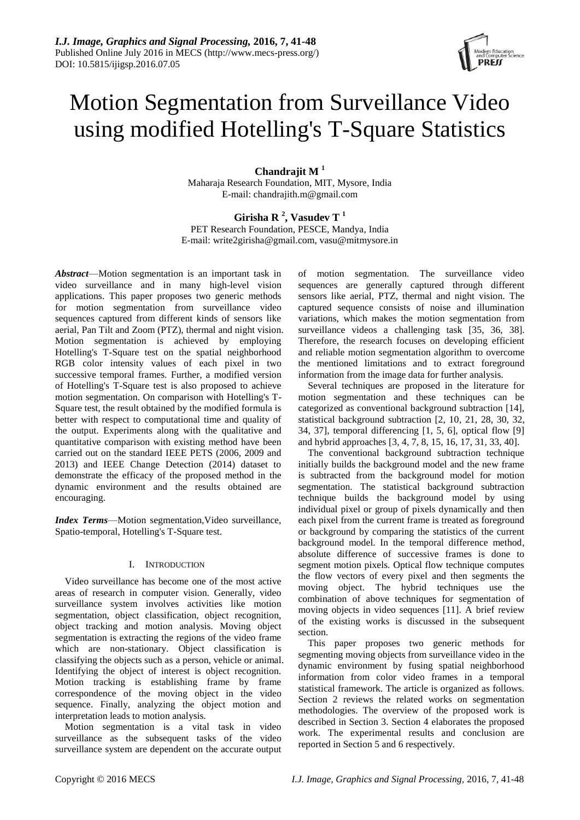

# Motion Segmentation from Surveillance Video using modified Hotelling's T-Square Statistics

**Chandrajit M <sup>1</sup>** Maharaja Research Foundation, MIT, Mysore, India E-mail: chandrajith.m@gmail.com

**Girisha R <sup>2</sup> , Vasudev T <sup>1</sup>** PET Research Foundation, PESCE, Mandya, India E-mail: write2girisha@gmail.com, vasu@mitmysore.in

*Abstract*—Motion segmentation is an important task in video surveillance and in many high-level vision applications. This paper proposes two generic methods for motion segmentation from surveillance video sequences captured from different kinds of sensors like aerial, Pan Tilt and Zoom (PTZ), thermal and night vision. Motion segmentation is achieved by employing Hotelling's T-Square test on the spatial neighborhood RGB color intensity values of each pixel in two successive temporal frames. Further, a modified version of Hotelling's T-Square test is also proposed to achieve motion segmentation. On comparison with Hotelling's T-Square test, the result obtained by the modified formula is better with respect to computational time and quality of the output. Experiments along with the qualitative and quantitative comparison with existing method have been carried out on the standard IEEE PETS (2006, 2009 and 2013) and IEEE Change Detection (2014) dataset to demonstrate the efficacy of the proposed method in the dynamic environment and the results obtained are encouraging.

*Index Terms*—Motion segmentation,Video surveillance, Spatio-temporal, Hotelling's T-Square test.

## I. INTRODUCTION

Video surveillance has become one of the most active areas of research in computer vision. Generally, video surveillance system involves activities like motion segmentation, object classification, object recognition, object tracking and motion analysis. Moving object segmentation is extracting the regions of the video frame which are non-stationary. Object classification is classifying the objects such as a person, vehicle or animal. Identifying the object of interest is object recognition. Motion tracking is establishing frame by frame correspondence of the moving object in the video sequence. Finally, analyzing the object motion and interpretation leads to motion analysis.

Motion segmentation is a vital task in video surveillance as the subsequent tasks of the video surveillance system are dependent on the accurate output of motion segmentation. The surveillance video sequences are generally captured through different sensors like aerial, PTZ, thermal and night vision. The captured sequence consists of noise and illumination variations, which makes the motion segmentation from surveillance videos a challenging task [35, 36, 38]. Therefore, the research focuses on developing efficient and reliable motion segmentation algorithm to overcome the mentioned limitations and to extract foreground information from the image data for further analysis.

Several techniques are proposed in the literature for motion segmentation and these techniques can be categorized as conventional background subtraction [14], statistical background subtraction [2, 10, 21, 28, 30, 32, 34, 37], temporal differencing [1, 5, 6], optical flow [9] and hybrid approaches [3, 4, 7, 8, 15, 16, 17, 31, 33, 40].

The conventional background subtraction technique initially builds the background model and the new frame is subtracted from the background model for motion segmentation. The statistical background subtraction technique builds the background model by using individual pixel or group of pixels dynamically and then each pixel from the current frame is treated as foreground or background by comparing the statistics of the current background model. In the temporal difference method, absolute difference of successive frames is done to segment motion pixels. Optical flow technique computes the flow vectors of every pixel and then segments the moving object. The hybrid techniques use the combination of above techniques for segmentation of moving objects in video sequences [11]. A brief review of the existing works is discussed in the subsequent section.

This paper proposes two generic methods for segmenting moving objects from surveillance video in the dynamic environment by fusing spatial neighborhood information from color video frames in a temporal statistical framework. The article is organized as follows. Section 2 reviews the related works on segmentation methodologies. The overview of the proposed work is described in Section 3. Section 4 elaborates the proposed work. The experimental results and conclusion are reported in Section 5 and 6 respectively.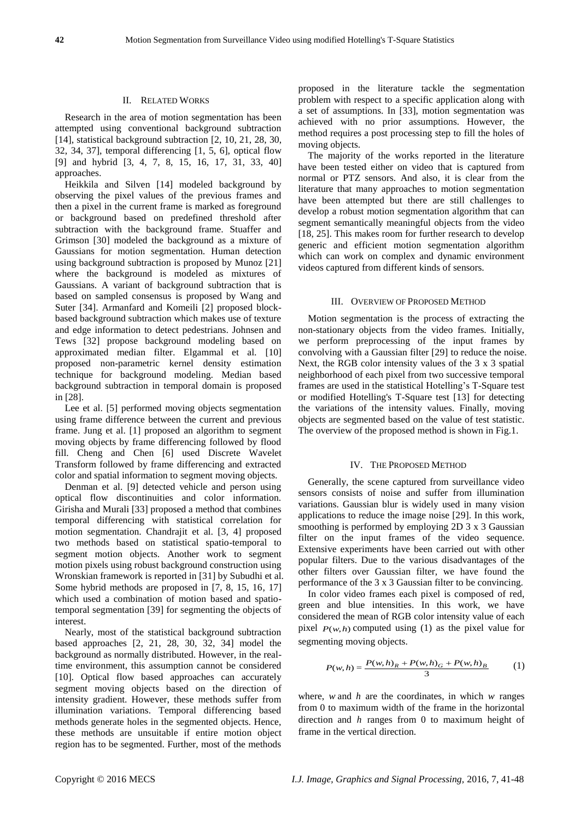## II. RELATED WORKS

Research in the area of motion segmentation has been attempted using conventional background subtraction [14], statistical background subtraction [2, 10, 21, 28, 30, 32, 34, 37], temporal differencing [1, 5, 6], optical flow [9] and hybrid [3, 4, 7, 8, 15, 16, 17, 31, 33, 40] approaches.

Heikkila and Silven [14] modeled background by observing the pixel values of the previous frames and then a pixel in the current frame is marked as foreground or background based on predefined threshold after subtraction with the background frame. Stuaffer and Grimson [30] modeled the background as a mixture of Gaussians for motion segmentation. Human detection using background subtraction is proposed by Munoz [21] where the background is modeled as mixtures of Gaussians. A variant of background subtraction that is based on sampled consensus is proposed by Wang and Suter [34]. Armanfard and Komeili [2] proposed blockbased background subtraction which makes use of texture and edge information to detect pedestrians. Johnsen and Tews [32] propose background modeling based on approximated median filter. Elgammal et al. [10] proposed non-parametric kernel density estimation technique for background modeling. Median based background subtraction in temporal domain is proposed in [28].

Lee et al. [5] performed moving objects segmentation using frame difference between the current and previous frame. Jung et al. [1] proposed an algorithm to segment moving objects by frame differencing followed by flood fill. Cheng and Chen [6] used Discrete Wavelet Transform followed by frame differencing and extracted color and spatial information to segment moving objects.

Denman et al. [9] detected vehicle and person using optical flow discontinuities and color information. Girisha and Murali [33] proposed a method that combines temporal differencing with statistical correlation for motion segmentation. Chandrajit et al. [3, 4] proposed two methods based on statistical spatio-temporal to segment motion objects. Another work to segment motion pixels using robust background construction using Wronskian framework is reported in [31] by Subudhi et al. Some hybrid methods are proposed in [7, 8, 15, 16, 17] which used a combination of motion based and spatiotemporal segmentation [39] for segmenting the objects of interest.

Nearly, most of the statistical background subtraction based approaches [2, 21, 28, 30, 32, 34] model the background as normally distributed. However, in the realtime environment, this assumption cannot be considered [10]. Optical flow based approaches can accurately segment moving objects based on the direction of intensity gradient. However, these methods suffer from illumination variations. Temporal differencing based methods generate holes in the segmented objects. Hence, these methods are unsuitable if entire motion object region has to be segmented. Further, most of the methods

proposed in the literature tackle the segmentation problem with respect to a specific application along with a set of assumptions. In [33], motion segmentation was achieved with no prior assumptions. However, the method requires a post processing step to fill the holes of moving objects.

The majority of the works reported in the literature have been tested either on video that is captured from normal or PTZ sensors. And also, it is clear from the literature that many approaches to motion segmentation have been attempted but there are still challenges to develop a robust motion segmentation algorithm that can segment semantically meaningful objects from the video [18, 25]. This makes room for further research to develop generic and efficient motion segmentation algorithm which can work on complex and dynamic environment videos captured from different kinds of sensors.

## III. OVERVIEW OF PROPOSED METHOD

Motion segmentation is the process of extracting the non-stationary objects from the video frames. Initially, we perform preprocessing of the input frames by convolving with a Gaussian filter [29] to reduce the noise. Next, the RGB color intensity values of the 3 x 3 spatial neighborhood of each pixel from two successive temporal frames are used in the statistical Hotelling's T-Square test or modified Hotelling's T-Square test [13] for detecting the variations of the intensity values. Finally, moving objects are segmented based on the value of test statistic. The overview of the proposed method is shown in Fig.1.

### IV. THE PROPOSED METHOD

Generally, the scene captured from surveillance video sensors consists of noise and suffer from illumination variations. Gaussian blur is widely used in many vision applications to reduce the image noise [29]. In this work, smoothing is performed by employing 2D 3 x 3 Gaussian filter on the input frames of the video sequence. Extensive experiments have been carried out with other popular filters. Due to the various disadvantages of the other filters over Gaussian filter, we have found the performance of the 3 x 3 Gaussian filter to be convincing.

In color video frames each pixel is composed of red, green and blue intensities. In this work, we have considered the mean of RGB color intensity value of each pixel  $P(w, h)$  computed using (1) as the pixel value for segmenting moving objects.

$$
P(w,h) = \frac{P(w,h)_R + P(w,h)_G + P(w,h)_B}{3}
$$
 (1)

where,  $w$  and  $h$  are the coordinates, in which  $w$  ranges from 0 to maximum width of the frame in the horizontal direction and *h* ranges from 0 to maximum height of frame in the vertical direction.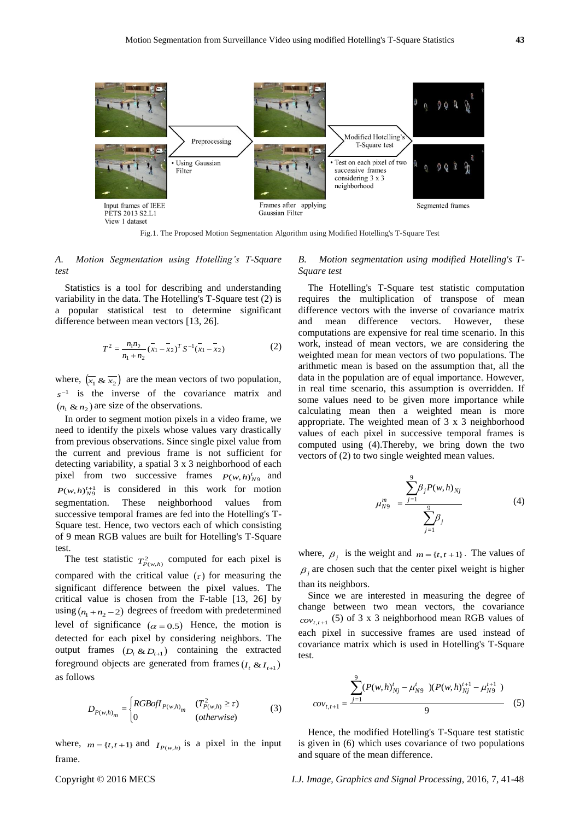

Fig.1. The Proposed Motion Segmentation Algorithm using Modified Hotelling's T-Square Test

## *A. Motion Segmentation using Hotelling's T-Square test*

Statistics is a tool for describing and understanding variability in the data. The Hotelling's T-Square test (2) is a popular statistical test to determine significant difference between mean vectors [13, 26].

$$
T^{2} = \frac{n_{1}n_{2}}{n_{1} + n_{2}} (\bar{x}_{1} - \bar{x}_{2})^{T} S^{-1} (\bar{x}_{1} - \bar{x}_{2})
$$
 (2)

where,  $(\overline{x_1} \& \overline{x_2})$  are the mean vectors of two population,  $s^{-1}$  is the inverse of the covariance matrix and  $(n_1 \& n_2)$  are size of the observations.

In order to segment motion pixels in a video frame, we need to identify the pixels whose values vary drastically from previous observations. Since single pixel value from the current and previous frame is not sufficient for detecting variability, a spatial 3 x 3 neighborhood of each pixel from two successive frames  $P(w, h)_{N9}^t$  and  $P(w, h)_{N9}^{t+1}$  is considered in this work for motion segmentation. These neighborhood values from successive temporal frames are fed into the Hotelling's T-Square test. Hence, two vectors each of which consisting of 9 mean RGB values are built for Hotelling's T-Square test.

The test statistic  $T_{P(w,h)}^2$  computed for each pixel is compared with the critical value  $(\tau)$  for measuring the significant difference between the pixel values. The critical value is chosen from the F-table [13, 26] by using  $(n_1 + n_2 - 2)$  degrees of freedom with predetermined level of significance  $(\alpha = 0.5)$  Hence, the motion is detected for each pixel by considering neighbors. The output frames  $(D_t \& D_{t+1})$  containing the extracted foreground objects are generated from frames  $(I_t \& I_{t+1})$ as follows

$$
D_{P(w,h)_m} = \begin{cases} RGBofI_{P(w,h)_m} & (T_{P(w,h)}^2 \ge \tau) \\ 0 & (otherwise) \end{cases}
$$
(3)

where,  $m = \{t, t+1\}$  and  $I_{P(w,h)}$  is a pixel in the input frame.

## *B. Motion segmentation using modified Hotelling's T-Square test*

The Hotelling's T-Square test statistic computation requires the multiplication of transpose of mean difference vectors with the inverse of covariance matrix and mean difference vectors. However, these computations are expensive for real time scenario. In this work, instead of mean vectors, we are considering the weighted mean for mean vectors of two populations. The arithmetic mean is based on the assumption that, all the data in the population are of equal importance. However, in real time scenario, this assumption is overridden. If some values need to be given more importance while calculating mean then a weighted mean is more appropriate. The weighted mean of 3 x 3 neighborhood values of each pixel in successive temporal frames is computed using (4).Thereby, we bring down the two vectors of (2) to two single weighted mean values.

$$
\mu_{N9}^{m} = \frac{\sum_{j=1}^{9} \beta_{j} P(w, h)_{Nj}}{\sum_{j=1}^{9} \beta_{j}}
$$
(4)

where,  $\beta_j$  is the weight and  $m = \{t, t+1\}$ . The values of  $\beta_j$  are chosen such that the center pixel weight is higher than its neighbors.

Since we are interested in measuring the degree of change between two mean vectors, the covariance  $cov_{t,t+1}$  (5) of 3 x 3 neighborhood mean RGB values of each pixel in successive frames are used instead of covariance matrix which is used in Hotelling's T-Square test.

$$
cov_{t,t+1} = \frac{\sum_{j=1}^{9} (P(w,h)_{Nj}^t - \mu_{N9}^t) (P(w,h)_{Nj}^{t+1} - \mu_{N9}^{t+1})}{9}
$$
(5)

Hence, the modified Hotelling's T-Square test statistic is given in (6) which uses covariance of two populations and square of the mean difference.

Copyright © 2016 MECS *I.J. Image, Graphics and Signal Processing,* 2016, 7, 41-48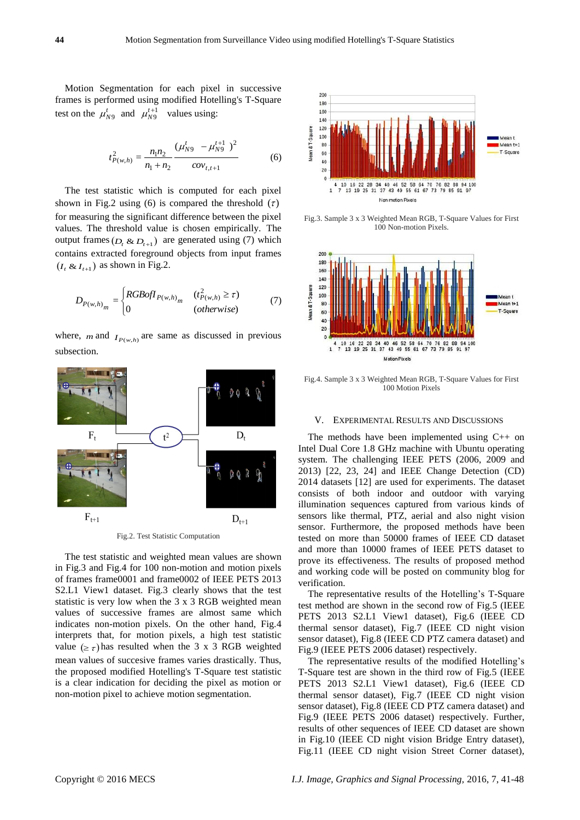Motion Segmentation for each pixel in successive frames is performed using modified Hotelling's T-Square test on the  $\mu_{N9}^t$  and  $\mu_{N9}^{t+1}$  values using:

$$
t_{P(w,h)}^2 = \frac{n_1 n_2}{n_1 + n_2} \frac{(\mu_{N9}^t - \mu_{N9}^{t+1})^2}{cov_{t,t+1}}
$$
 (6)

The test statistic which is computed for each pixel shown in Fig.2 using (6) is compared the threshold  $(\tau)$ for measuring the significant difference between the pixel values. The threshold value is chosen empirically. The output frames  $(D_t \& D_{t+1})$  are generated using (7) which contains extracted foreground objects from input frames  $(I_t \& I_{t+1})$  as shown in Fig.2.

$$
D_{P(w,h)}_{m} = \begin{cases} RGBofI_{P(w,h)}_{m} & (t_{P(w,h)}^2 \ge \tau) \\ 0 & (otherwise) \end{cases} \tag{7}
$$

where, *m* and  $I_{P(w,h)}$  are same as discussed in previous subsection.



Fig.2. Test Statistic Computation

The test statistic and weighted mean values are shown in Fig.3 and Fig.4 for 100 non-motion and motion pixels of frames frame0001 and frame0002 of IEEE PETS 2013 S2.L1 View1 dataset. Fig.3 clearly shows that the test statistic is very low when the 3 x 3 RGB weighted mean values of successive frames are almost same which indicates non-motion pixels. On the other hand, Fig.4 interprets that, for motion pixels, a high test statistic value  $(\geq \tau)$  has resulted when the 3 x 3 RGB weighted mean values of succesive frames varies drastically. Thus, the proposed modified Hotelling's T-Square test statistic is a clear indication for deciding the pixel as motion or non-motion pixel to achieve motion segmentation.



Fig.3. Sample 3 x 3 Weighted Mean RGB, T-Square Values for First 100 Non-motion Pixels.



Fig.4. Sample 3 x 3 Weighted Mean RGB, T-Square Values for First 100 Motion Pixels

## V. EXPERIMENTAL RESULTS AND DISCUSSIONS

The methods have been implemented using C++ on Intel Dual Core 1.8 GHz machine with Ubuntu operating system. The challenging IEEE PETS (2006, 2009 and 2013) [22, 23, 24] and IEEE Change Detection (CD) 2014 datasets [12] are used for experiments. The dataset consists of both indoor and outdoor with varying illumination sequences captured from various kinds of sensors like thermal, PTZ, aerial and also night vision sensor. Furthermore, the proposed methods have been tested on more than 50000 frames of IEEE CD dataset and more than 10000 frames of IEEE PETS dataset to prove its effectiveness. The results of proposed method and working code will be posted on community blog for verification.

The representative results of the Hotelling's T-Square test method are shown in the second row of Fig.5 (IEEE PETS 2013 S2.L1 View1 dataset), Fig.6 (IEEE CD thermal sensor dataset), Fig.7 (IEEE CD night vision sensor dataset), Fig.8 (IEEE CD PTZ camera dataset) and Fig.9 (IEEE PETS 2006 dataset) respectively.

The representative results of the modified Hotelling's T-Square test are shown in the third row of Fig.5 (IEEE PETS 2013 S2.L1 View1 dataset), Fig.6 (IEEE CD thermal sensor dataset), Fig.7 (IEEE CD night vision sensor dataset), Fig.8 (IEEE CD PTZ camera dataset) and Fig.9 (IEEE PETS 2006 dataset) respectively. Further, results of other sequences of IEEE CD dataset are shown in Fig.10 (IEEE CD night vision Bridge Entry dataset), Fig.11 (IEEE CD night vision Street Corner dataset),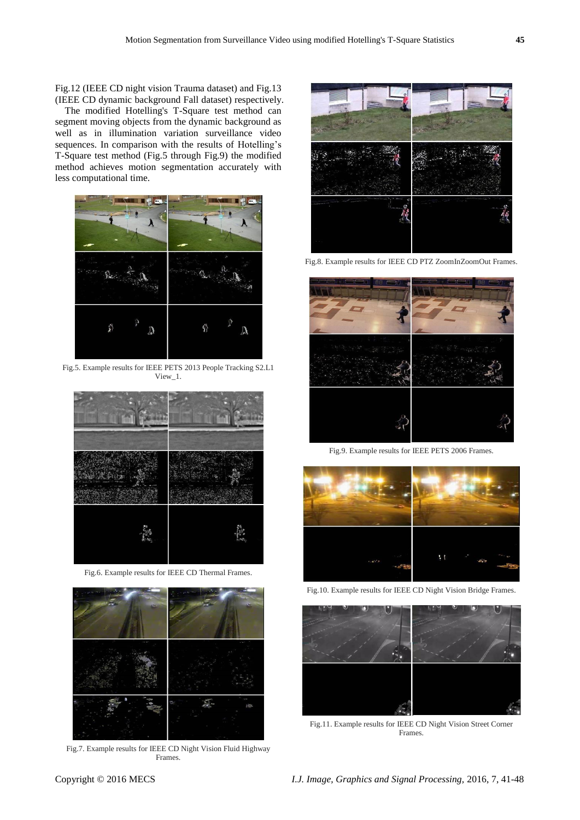Fig.12 (IEEE CD night vision Trauma dataset) and Fig.13 (IEEE CD dynamic background Fall dataset) respectively.

The modified Hotelling's T-Square test method can segment moving objects from the dynamic background as well as in illumination variation surveillance video sequences. In comparison with the results of Hotelling's T-Square test method (Fig.5 through Fig.9) the modified method achieves motion segmentation accurately with less computational time.



Fig.5. Example results for IEEE PETS 2013 People Tracking S2.L1 View\_1.



Fig.6. Example results for IEEE CD Thermal Frames.



Fig.7. Example results for IEEE CD Night Vision Fluid Highway Frames.



Fig.8. Example results for IEEE CD PTZ ZoomInZoomOut Frames.



Fig.9. Example results for IEEE PETS 2006 Frames.



Fig.10. Example results for IEEE CD Night Vision Bridge Frames.



Fig.11. Example results for IEEE CD Night Vision Street Corner Frames.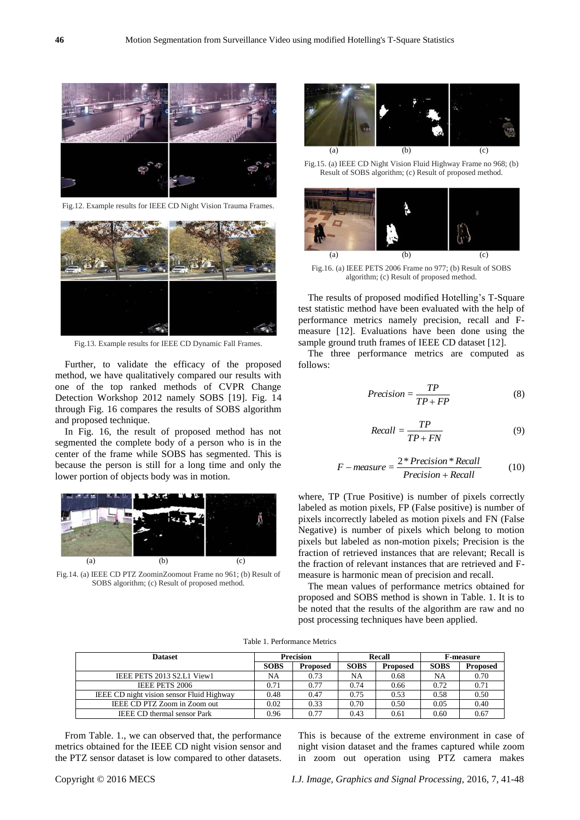

Fig.12. Example results for IEEE CD Night Vision Trauma Frames.



Fig.13. Example results for IEEE CD Dynamic Fall Frames.

Further, to validate the efficacy of the proposed method, we have qualitatively compared our results with one of the top ranked methods of CVPR Change Detection Workshop 2012 namely SOBS [19]. Fig. 14 through Fig. 16 compares the results of SOBS algorithm and proposed technique.

In Fig. 16, the result of proposed method has not segmented the complete body of a person who is in the center of the frame while SOBS has segmented. This is because the person is still for a long time and only the lower portion of objects body was in motion.



Fig.14. (a) IEEE CD PTZ ZoominZoomout Frame no 961; (b) Result of SOBS algorithm; (c) Result of proposed method.



Fig.15. (a) IEEE CD Night Vision Fluid Highway Frame no 968; (b) Result of SOBS algorithm; (c) Result of proposed method.



Fig.16. (a) IEEE PETS 2006 Frame no 977; (b) Result of SOBS algorithm; (c) Result of proposed method.

The results of proposed modified Hotelling's T-Square test statistic method have been evaluated with the help of performance metrics namely precision, recall and Fmeasure [12]. Evaluations have been done using the sample ground truth frames of IEEE CD dataset [12].

The three performance metrics are computed as follows:

$$
Precision = \frac{TP}{TP + FP}
$$
 (8)

$$
Recall = \frac{TP}{TP + FN} \tag{9}
$$

$$
F-measure = \frac{2*Precision*Recall}{Precision+Recall}
$$
 (10)

where, TP (True Positive) is number of pixels correctly labeled as motion pixels, FP (False positive) is number of pixels incorrectly labeled as motion pixels and FN (False Negative) is number of pixels which belong to motion pixels but labeled as non-motion pixels; Precision is the fraction of retrieved instances that are relevant; Recall is the fraction of relevant instances that are retrieved and Fmeasure is harmonic mean of precision and recall.

The mean values of performance metrics obtained for proposed and SOBS method is shown in Table. 1. It is to be noted that the results of the algorithm are raw and no post processing techniques have been applied.

Table 1. Performance Metrics

| <b>Dataset</b>                            | <b>Precision</b> |                 | <b>Recall</b> |                 | <b>F-measure</b> |                 |
|-------------------------------------------|------------------|-----------------|---------------|-----------------|------------------|-----------------|
|                                           | <b>SOBS</b>      | <b>Proposed</b> | <b>SOBS</b>   | <b>Proposed</b> | <b>SOBS</b>      | <b>Proposed</b> |
| IEEE PETS 2013 S2.L1 View1                | NA               | 0.73            | NA            | 0.68            | NA               | 0.70            |
| <b>IEEE PETS 2006</b>                     | 0.71             | 0.77            | 0.74          | 0.66            | 0.72             | 0.71            |
| IEEE CD night vision sensor Fluid Highway | 0.48             | 0.47            | 0.75          | 0.53            | 0.58             | 0.50            |
| IEEE CD PTZ Zoom in Zoom out              | 0.02             | 0.33            | 0.70          | 0.50            | 0.05             | 0.40            |
| <b>IEEE CD thermal sensor Park</b>        | 0.96             | 0.77            | 0.43          | 0.61            | 0.60             | 0.67            |

From Table. 1., we can observed that, the performance metrics obtained for the IEEE CD night vision sensor and the PTZ sensor dataset is low compared to other datasets. This is because of the extreme environment in case of night vision dataset and the frames captured while zoom in zoom out operation using PTZ camera makes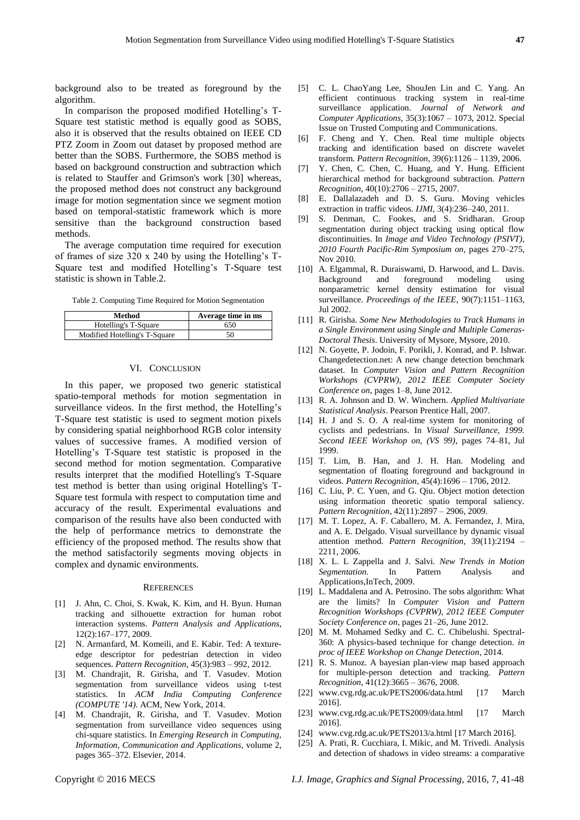background also to be treated as foreground by the algorithm.

In comparison the proposed modified Hotelling's T-Square test statistic method is equally good as SOBS, also it is observed that the results obtained on IEEE CD PTZ Zoom in Zoom out dataset by proposed method are better than the SOBS. Furthermore, the SOBS method is based on background construction and subtraction which is related to Stauffer and Grimson's work [30] whereas, the proposed method does not construct any background image for motion segmentation since we segment motion based on temporal-statistic framework which is more sensitive than the background construction based methods.

The average computation time required for execution of frames of size 320 x 240 by using the Hotelling's T-Square test and modified Hotelling's T-Square test statistic is shown in Table.2.

Table 2. Computing Time Required for Motion Segmentation

| Method                        | Average time in ms |  |  |  |
|-------------------------------|--------------------|--|--|--|
| Hotelling's T-Square          | 650                |  |  |  |
| Modified Hotelling's T-Square | 50                 |  |  |  |

## VI. CONCLUSION

In this paper, we proposed two generic statistical spatio-temporal methods for motion segmentation in surveillance videos. In the first method, the Hotelling's T-Square test statistic is used to segment motion pixels by considering spatial neighborhood RGB color intensity values of successive frames. A modified version of Hotelling's T-Square test statistic is proposed in the second method for motion segmentation. Comparative results interpret that the modified Hotelling's T-Square test method is better than using original Hotelling's T-Square test formula with respect to computation time and accuracy of the result. Experimental evaluations and comparison of the results have also been conducted with the help of performance metrics to demonstrate the efficiency of the proposed method. The results show that the method satisfactorily segments moving objects in complex and dynamic environments.

#### **REFERENCES**

- [1] J. Ahn, C. Choi, S. Kwak, K. Kim, and H. Byun. Human tracking and silhouette extraction for human robot interaction systems. *Pattern Analysis and Applications*, 12(2):167–177, 2009.
- [2] N. Armanfard, M. Komeili, and E. Kabir. Ted: A textureedge descriptor for pedestrian detection in video sequences. *Pattern Recognition*, 45(3):983 – 992, 2012.
- [3] M. Chandrajit, R. Girisha, and T. Vasudev. Motion segmentation from surveillance videos using t-test statistics. In *ACM India Computing Conference (COMPUTE '14)*. ACM, New York, 2014.
- [4] M. Chandrajit, R. Girisha, and T. Vasudev. Motion segmentation from surveillance video sequences using chi-square statistics. In *Emerging Research in Computing, Information, Communication and Applications*, volume 2, pages 365–372. Elsevier, 2014.
- [5] C. L. ChaoYang Lee, ShouJen Lin and C. Yang. An efficient continuous tracking system in real-time surveillance application. *Journal of Network and Computer Applications*, 35(3):1067 – 1073, 2012. Special Issue on Trusted Computing and Communications.
- [6] F. Cheng and Y. Chen. Real time multiple objects tracking and identification based on discrete wavelet transform. *Pattern Recognition*, 39(6):1126 – 1139, 2006.
- [7] Y. Chen, C. Chen, C. Huang, and Y. Hung. Efficient hierarchical method for background subtraction. *Pattern Recognition*, 40(10):2706 – 2715, 2007.
- [8] E. Dallalazadeh and D. S. Guru. Moving vehicles extraction in traffic videos. *IJMI*, 3(4):236–240, 2011.
- [9] S. Denman, C. Fookes, and S. Sridharan. Group segmentation during object tracking using optical flow discontinuities. In *Image and Video Technology (PSIVT), 2010 Fourth Pacific-Rim Symposium on*, pages 270–275, Nov 2010.
- [10] A. Elgammal, R. Duraiswami, D. Harwood, and L. Davis. Background and foreground modeling using nonparametric kernel density estimation for visual surveillance. *Proceedings of the IEEE*, 90(7):1151–1163, Jul 2002.
- [11] R. Girisha. *Some New Methodologies to Track Humans in a Single Environment using Single and Multiple Cameras-Doctoral Thesis*. University of Mysore, Mysore, 2010.
- [12] N. Goyette, P. Jodoin, F. Porikli, J. Konrad, and P. Ishwar. Changedetection.net: A new change detection benchmark dataset. In *Computer Vision and Pattern Recognition Workshops (CVPRW), 2012 IEEE Computer Society Conference on*, pages 1–8, June 2012.
- [13] R. A. Johnson and D. W. Winchern. *Applied Multivariate Statistical Analysis*. Pearson Prentice Hall, 2007.
- [14] H. J and S. O. A real-time system for monitoring of cyclists and pedestrians. In *Visual Surveillance, 1999. Second IEEE Workshop on, (VS 99)*, pages 74–81, Jul 1999.
- [15] T. Lim, B. Han, and J. H. Han. Modeling and segmentation of floating foreground and background in videos. *Pattern Recognition*, 45(4):1696 – 1706, 2012.
- [16] C. Liu, P. C. Yuen, and G. Qiu. Object motion detection using information theoretic spatio temporal saliency. *Pattern Recognition*, 42(11):2897 – 2906, 2009.
- [17] M. T. Lopez, A. F. Caballero, M. A. Fernandez, J. Mira, and A. E. Delgado. Visual surveillance by dynamic visual attention method. *Pattern Recognition*, 39(11):2194 – 2211, 2006.
- [18] X. L. L Zappella and J. Salvi. *New Trends in Motion Segmentation*. In Pattern Analysis and Applications,InTech, 2009.
- [19] L. Maddalena and A. Petrosino. The sobs algorithm: What are the limits? In *Computer Vision and Pattern Recognition Workshops (CVPRW), 2012 IEEE Computer Society Conference on*, pages 21–26, June 2012.
- [20] M. M. Mohamed Sedky and C. C. Chibelushi. Spectral-360: A physics-based technique for change detection. *in proc of IEEE Workshop on Change Detection*, 2014.
- [21] R. S. Munoz. A bayesian plan-view map based approach for multiple-person detection and tracking. *Pattern Recognition*, 41(12):3665 – 3676, 2008.
- [22] www.cvg.rdg.ac.uk/PETS2006/data.html [17 March 2016].
- [23] www.cvg.rdg.ac.uk/PETS2009/data.html [17 March 2016].
- [24] www.cvg.rdg.ac.uk/PETS2013/a.html [17 March 2016].
- [25] A. Prati, R. Cucchiara, I. Mikic, and M. Trivedi. Analysis and detection of shadows in video streams: a comparative